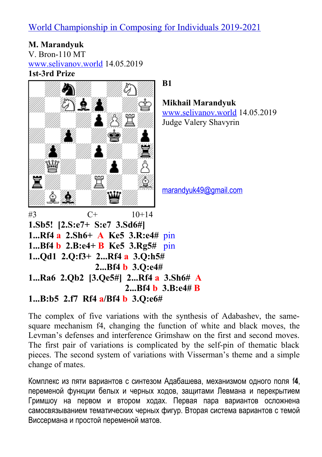**М. Мarandyuk** V. Bron-110 MT [www.selivanov.world](http://www.selivanov.world/) 14.05.2019 **1st-3rd Prize**



The complex of five variations with the synthesis of Adabashev, the samesquare mechanism f4, changing the function of white and black moves, the Levman's defenses and interference Grimshaw on the first and second moves. The first pair of variations is complicated by the self-pin of thematic black pieces. The second system of variations with Visserman's theme and a simple change of mates.

Комплекс из пяти вариантов с синтезом Адабашева, механизмом одного поля f**4**, переменой функции белых и черных ходов, защитами Левмана и перекрытием Гримшоу на первом и втором ходах. Первая пара вариантов осложнена самосвязыванием тематических черных фигур. Вторая система вариантов с темой Виссермана и простой переменой матов.

**Mikhail Marandyuk** [www.selivanov.world](http://www.selivanov.world/) 14.05.2019 Judge Valery Shavyrin

[marandyuk49@gmail.com](mailto:marandyuk49@gmail.com)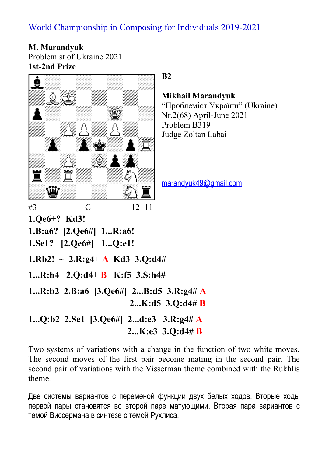**М. Marandyuk** Problemist of Ukraine 2021 **1st-2nd Prize**



### **B2**

**Mikhail Marandyuk** "Проблеміст України" (Ukraine) Nr.2(68) April-June 2021 Problem B319 Judge Zoltan Labai

[marandyuk49@gmail.com](mailto:marandyuk49@gmail.com)

Two systems of variations with a change in the function of two white moves. The second moves of the first pair become mating in the second pair. The second pair of variations with the Visserman theme combined with the Rukhlis theme.

 **2...K:e3 3.Q:d4# B**

Две системы вариантов с переменой функции двух белых ходов. Вторые ходы первой пары становятся во второй паре матующими. Вторая пара вариантов с темой Виссермана в синтезе с темой Рухлиса.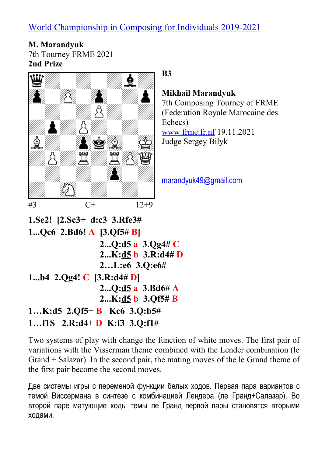**М. Мarandyuk** 7th Tourney FRME 2021 **2nd Prize**



**B3**

#### **Mikhail Marandyuk**

7th Composing Tourney of FRME (Federation Royale Marocaine des Echecs) [www.frme.fr.nf](http://www.frme.fr.nf/) 19.11.2021

Judge Sergey Bilyk

[marandyuk49@gmail.com](mailto:marandyuk49@gmail.com)

```
1.Se2! [2.Sc3+ d:c3 3.Rfe3#
1...Qc6 2.Bd6! A [3.Qf5# B]
                 2...Q:d5 a 3.Qg4# C
                 2...K:d5 b 3.R:d4# D
                 2…L:e6 3.Q:e6#
1...b4 2.Qg4! C [3.R:d4# D]
                 2...Q:d5 a 3.Bd6# A
                 2...K:d5 b 3.Qf5# B
1…K:d5 2.Qf5+ B Kc6 3.Q:b5#
1…f1S 2.R:d4+ D K:f3 3.Q:f1#
```
Two systems of play with change the function of white moves. The first pair of variations with the Visserman theme combined with the Lender combination (le Grand + Salazar). In the second pair, the mating moves of the le Grand theme of the first pair become the second moves.

Две системы игры с переменой функции белых ходов. Первая пара вариантов с темой Виссермана в синтезе с комбинацией Лендера (ле Гранд+Салазар). Во второй паре матующие ходы темы ле Гранд первой пары становятся вторыми ходами.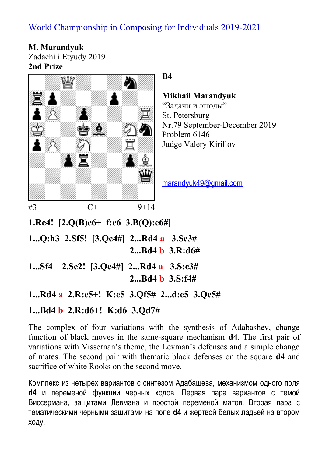**М. Мarandyuk** Zadachi i Etyudy 2019 **2nd Prize**



#### **B4**

### **Mikhail Marandyuk**

"Задачи и этюды" St. Petersburg Nr.79 September-December 2019 Problem 6146 Judge Valery Kirillov

[marandyuk49@gmail.com](mailto:marandyuk49@gmail.com)

**1.Re4! [2.Q(B)e6+ f:e6 3.B(Q):e6#]**

**1...Q:h3 2.Sf5! [3.Qc4#] 2...Rd4 a 3.Se3# 2...Bd4 b 3.R:d6#**

- **1...Sf4 2.Se2! [3.Qc4#] 2...Rd4 a 3.S:c3# 2...Bd4 b 3.S:f4#**
- **1...Rd4 a 2.R:e5+! K:e5 3.Qf5# 2...d:e5 3.Qc5#**

### **1...Bd4 b 2.R:d6+! K:d6 3.Qd7#**

The complex of four variations with the synthesis of Adabashev, change function of black moves in the same-square mechanism **d4**. The first pair of variations with Vissernan's theme, the Levman's defenses and a simple change of mates. The second pair with thematic black defenses on the square **d4** and sacrifice of white Rooks on the second move.

Комплекс из четырех вариантов с синтезом Адабашева, механизмом одного поля **d4** и переменой функции черных ходов. Первая пара вариантов с темой Виссермана, защитами Левмана и простой переменой матов. Вторая пара с тематическими черными защитами на поле **d4** и жертвой белых ладьей на втором ходу.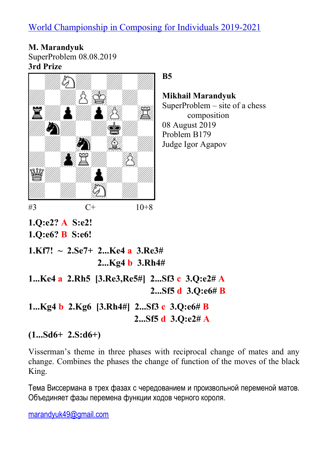**М. Мarandyuk** SuperProblem 08.08.2019 **3rd Prize**



**B5**

**Mikhail Marandyuk** SuperProblem – site of a chess composition 08 August 2019 Problem B179 Judge Igor Agapov

**1.Q:e6? B S:e6!**

**1.Kf7! ~ 2.Se7+ 2...Ke4 a 3.Re3# 2...Kg4 b 3.Rh4#**

**1...Ke4 a 2.Rh5 [3.Re3,Re5#] 2...Sf3 c 3.Q:e2# A 2...Sf5 d 3.Q:e6# B**

**1...Kg4 b 2.Kg6 [3.Rh4#] 2...Sf3 c 3.Q:e6# B 2...Sf5 d 3.Q:e2# A**

**(1...Sd6+ 2.S:d6+)**

Visserman's theme in three phases with reciprocal change of mates and any change. Combines the phases the change of function of the moves of the black King.

Тема Виссермана в трех фазах с чередованием и произвольной переменой матов. Объединяет фазы перемена функции ходов черного короля.

[marandyuk49@gmail.com](mailto:marandyuk49@gmail.com)